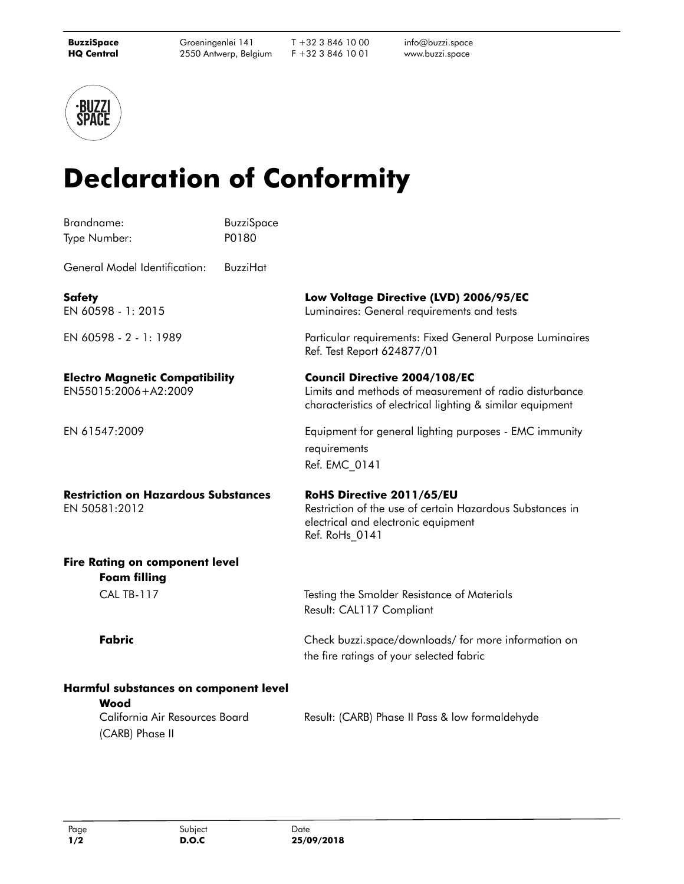T +32 3 846 10 00 F +32 3 846 10 01

info@buzzi.space [www.buzzi.space](http://www.buzzi.space)



## **Declaration of Conformity**

| Brandname:                                                                                         | <b>BuzziSpace</b> |                                                                                                                                                              |  |
|----------------------------------------------------------------------------------------------------|-------------------|--------------------------------------------------------------------------------------------------------------------------------------------------------------|--|
| Type Number:                                                                                       | P0180             |                                                                                                                                                              |  |
| General Model Identification:                                                                      | <b>BuzziHat</b>   |                                                                                                                                                              |  |
| <b>Safety</b><br>EN 60598 - 1: 2015                                                                |                   | Low Voltage Directive (LVD) 2006/95/EC<br>Luminaires: General requirements and tests                                                                         |  |
| EN 60598 - 2 - 1: 1989                                                                             |                   | Particular requirements: Fixed General Purpose Luminaires<br>Ref. Test Report 624877/01                                                                      |  |
| <b>Electro Magnetic Compatibility</b><br>EN55015:2006+A2:2009                                      |                   | <b>Council Directive 2004/108/EC</b><br>Limits and methods of measurement of radio disturbance<br>characteristics of electrical lighting & similar equipment |  |
| EN 61547:2009                                                                                      |                   | Equipment for general lighting purposes - EMC immunity<br>requirements<br>Ref. EMC 0141                                                                      |  |
| <b>Restriction on Hazardous Substances</b><br>EN 50581:2012                                        |                   | RoHS Directive 2011/65/EU<br>Restriction of the use of certain Hazardous Substances in<br>electrical and electronic equipment<br>Ref. RoHs_0141              |  |
| <b>Fire Rating on component level</b><br><b>Foam filling</b>                                       |                   |                                                                                                                                                              |  |
| <b>CAL TB-117</b>                                                                                  |                   | Testing the Smolder Resistance of Materials<br>Result: CAL117 Compliant                                                                                      |  |
| <b>Fabric</b>                                                                                      |                   | Check buzzi.space/downloads/ for more information on<br>the fire ratings of your selected fabric                                                             |  |
| Harmful substances on component level<br>Wood<br>California Air Resources Board<br>(CARB) Phase II |                   | Result: (CARB) Phase II Pass & low formaldehyde                                                                                                              |  |
|                                                                                                    |                   |                                                                                                                                                              |  |